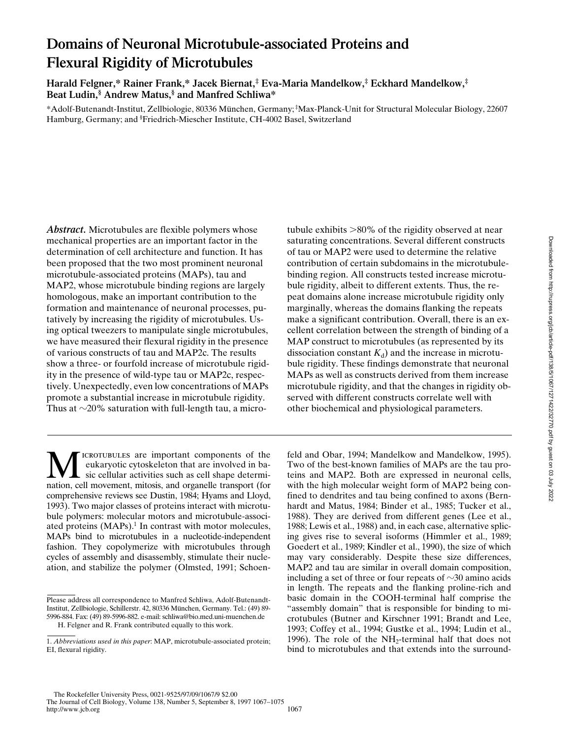# **Domains of Neuronal Microtubule-associated Proteins and Flexural Rigidity of Microtubules**

**Harald Felgner,\* Rainer Frank,\* Jacek Biernat,‡ Eva-Maria Mandelkow,‡ Eckhard Mandelkow,‡ Beat Ludin,§ Andrew Matus,§ and Manfred Schliwa\***

\*Adolf-Butenandt-Institut, Zellbiologie, 80336 München, Germany; ‡ Max-Planck-Unit for Structural Molecular Biology, 22607 Hamburg, Germany; and § Friedrich-Miescher Institute, CH-4002 Basel, Switzerland

*Abstract.* Microtubules are flexible polymers whose mechanical properties are an important factor in the determination of cell architecture and function. It has been proposed that the two most prominent neuronal microtubule-associated proteins (MAPs), tau and MAP2, whose microtubule binding regions are largely homologous, make an important contribution to the formation and maintenance of neuronal processes, putatively by increasing the rigidity of microtubules. Using optical tweezers to manipulate single microtubules, we have measured their flexural rigidity in the presence of various constructs of tau and MAP2c. The results show a three- or fourfold increase of microtubule rigidity in the presence of wild-type tau or MAP2c, respectively. Unexpectedly, even low concentrations of MAPs promote a substantial increase in microtubule rigidity. Thus at  $\sim$ 20% saturation with full-length tau, a micro-

ICROTUBULES are important components of the eukaryotic cytoskeleton that are involved in basic cellular activities such as cell shape determination, cell movement, mitosis, and organelle transport (for comprehensive reviews see Dustin, 1984; Hyams and Lloyd, 1993). Two major classes of proteins interact with microtubule polymers: molecular motors and microtubule-associated proteins (MAPs).<sup>1</sup> In contrast with motor molecules, MAPs bind to microtubules in a nucleotide-independent fashion. They copolymerize with microtubules through cycles of assembly and disassembly, stimulate their nucleation, and stabilize the polymer (Olmsted, 1991; Schoen-

tubule exhibits  $>80\%$  of the rigidity observed at near saturating concentrations. Several different constructs of tau or MAP2 were used to determine the relative contribution of certain subdomains in the microtubulebinding region. All constructs tested increase microtubule rigidity, albeit to different extents. Thus, the repeat domains alone increase microtubule rigidity only marginally, whereas the domains flanking the repeats make a significant contribution. Overall, there is an excellent correlation between the strength of binding of a MAP construct to microtubules (as represented by its dissociation constant  $K_d$ ) and the increase in microtubule rigidity. These findings demonstrate that neuronal MAPs as well as constructs derived from them increase microtubule rigidity, and that the changes in rigidity observed with different constructs correlate well with other biochemical and physiological parameters.

feld and Obar, 1994; Mandelkow and Mandelkow, 1995). Two of the best-known families of MAPs are the tau proteins and MAP2. Both are expressed in neuronal cells, with the high molecular weight form of MAP2 being confined to dendrites and tau being confined to axons (Bernhardt and Matus, 1984; Binder et al., 1985; Tucker et al., 1988). They are derived from different genes (Lee et al., 1988; Lewis et al., 1988) and, in each case, alternative splicing gives rise to several isoforms (Himmler et al., 1989; Goedert et al., 1989; Kindler et al., 1990), the size of which may vary considerably. Despite these size differences, MAP2 and tau are similar in overall domain composition, including a set of three or four repeats of  $\sim$ 30 amino acids in length. The repeats and the flanking proline-rich and basic domain in the COOH-terminal half comprise the "assembly domain" that is responsible for binding to microtubules (Butner and Kirschner 1991; Brandt and Lee, 1993; Coffey et al., 1994; Gustke et al., 1994; Ludin et al., 1996). The role of the  $NH<sub>2</sub>$ -terminal half that does not bind to microtubules and that extends into the surround-

Please address all correspondence to Manfred Schliwa, Adolf-Butenandt-Institut, Zellbiologie, Schillerstr. 42, 80336 München, Germany. Tel.: (49) 89- 5996-884. Fax: (49) 89-5996-882. e-mail: schliwa@bio.med.uni-muenchen.de

H. Felgner and R. Frank contributed equally to this work.

<sup>1.</sup> *Abbreviations used in this paper*: MAP, microtubule-associated protein; EI, flexural rigidity.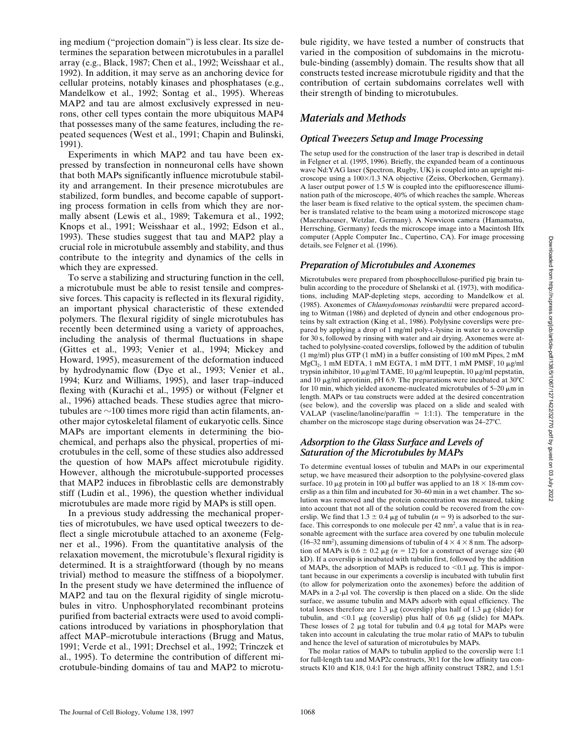ing medium ("projection domain") is less clear. Its size determines the separation between microtubules in a parallel array (e.g., Black, 1987; Chen et al., 1992; Weisshaar et al., 1992). In addition, it may serve as an anchoring device for cellular proteins, notably kinases and phosphatases (e.g., Mandelkow et al., 1992; Sontag et al., 1995). Whereas MAP2 and tau are almost exclusively expressed in neurons, other cell types contain the more ubiquitous MAP4 that possesses many of the same features, including the repeated sequences (West et al., 1991; Chapin and Bulinski, 1991).

Experiments in which MAP2 and tau have been expressed by transfection in nonneuronal cells have shown that both MAPs significantly influence microtubule stability and arrangement. In their presence microtubules are stabilized, form bundles, and become capable of supporting process formation in cells from which they are normally absent (Lewis et al., 1989; Takemura et al., 1992; Knops et al., 1991; Weisshaar et al., 1992; Edson et al., 1993). These studies suggest that tau and MAP2 play a crucial role in microtubule assembly and stability, and thus contribute to the integrity and dynamics of the cells in which they are expressed.

To serve a stabilizing and structuring function in the cell, a microtubule must be able to resist tensile and compressive forces. This capacity is reflected in its flexural rigidity, an important physical characteristic of these extended polymers. The flexural rigidity of single microtubules has recently been determined using a variety of approaches, including the analysis of thermal fluctuations in shape (Gittes et al., 1993; Venier et al., 1994; Mickey and Howard, 1995), measurement of the deformation induced by hydrodynamic flow (Dye et al., 1993; Venier et al., 1994; Kurz and Williams, 1995), and laser trap–induced flexing with (Kurachi et al., 1995) or without (Felgner et al., 1996) attached beads. These studies agree that microtubules are  $\sim$ 100 times more rigid than actin filaments, another major cytoskeletal filament of eukaryotic cells. Since MAPs are important elements in determining the biochemical, and perhaps also the physical, properties of microtubules in the cell, some of these studies also addressed the question of how MAPs affect microtubule rigidity. However, although the microtubule-supported processes that MAP2 induces in fibroblastic cells are demonstrably stiff (Ludin et al., 1996), the question whether individual microtubules are made more rigid by MAPs is still open.

In a previous study addressing the mechanical properties of microtubules, we have used optical tweezers to deflect a single microtubule attached to an axoneme (Felgner et al., 1996). From the quantitative analysis of the relaxation movement, the microtubule's flexural rigidity is determined. It is a straightforward (though by no means trivial) method to measure the stiffness of a biopolymer. In the present study we have determined the influence of MAP2 and tau on the flexural rigidity of single microtubules in vitro. Unphosphorylated recombinant proteins purified from bacterial extracts were used to avoid complications introduced by variations in phosphorylation that affect MAP–microtubule interactions (Brugg and Matus, 1991; Verde et al., 1991; Drechsel et al., 1992; Trinczek et al., 1995). To determine the contribution of different microtubule-binding domains of tau and MAP2 to microtu-

bule rigidity, we have tested a number of constructs that varied in the composition of subdomains in the microtubule-binding (assembly) domain. The results show that all constructs tested increase microtubule rigidity and that the contribution of certain subdomains correlates well with their strength of binding to microtubules.

### *Materials and Methods*

### *Optical Tweezers Setup and Image Processing*

The setup used for the construction of the laser trap is described in detail in Felgner et al. (1995, 1996). Briefly, the expanded beam of a continuous wave Nd:YAG laser (Spectron, Rugby, UK) is coupled into an upright microscope using a 100×/1.3 NA objective (Zeiss, Oberkochen, Germany). A laser output power of 1.5 W is coupled into the epifluorescence illumination path of the microscope, 40% of which reaches the sample. Whereas the laser beam is fixed relative to the optical system, the specimen chamber is translated relative to the beam using a motorized microscope stage (Maerzhaeuser, Wetzlar, Germany). A Newvicon camera (Hamamatsu, Herrsching, Germany) feeds the microscope image into a Macintosh IIfx computer (Apple Computer Inc., Cupertino, CA). For image processing details, see Felgner et al. (1996).

### *Preparation of Microtubules and Axonemes*

Microtubules were prepared from phosphocellulose-purified pig brain tubulin according to the procedure of Shelanski et al. (1973), with modifications, including MAP-depleting steps, according to Mandelkow et al. (1985). Axonemes of *Chlamydomonas reinhardtii* were prepared according to Witman (1986) and depleted of dynein and other endogenous proteins by salt extraction (King et al., 1986). Polylysine coverslips were prepared by applying a drop of 1 mg/ml poly-l-lysine in water to a coverslip for 30 s, followed by rinsing with water and air drying. Axonemes were attached to polylysine-coated coverslips, followed by the addition of tubulin (1 mg/ml) plus GTP (1 mM) in a buffer consisting of 100 mM Pipes, 2 mM MgCl<sub>2</sub>, 1 mM EDTA, 1 mM EGTA, 1 mM DTT, 1 mM PMSF, 10 µg/ml trypsin inhibitor, 10  $\mu$ g/ml TAME, 10  $\mu$ g/ml leupeptin, 10  $\mu$ g/ml pepstatin, and 10  $\mu$ g/ml aprotinin, pH 6.9. The preparations were incubated at 30°C for 10 min, which yielded axoneme-nucleated microtubules of  $5-20 \mu m$  in length. MAPs or tau constructs were added at the desired concentration (see below), and the coverslip was placed on a slide and sealed with VALAP (vaseline/lanoline/paraffin  $= 1:1:1$ ). The temperature in the chamber on the microscope stage during observation was  $24-27^{\circ}C$ .

#### *Adsorption to the Glass Surface and Levels of Saturation of the Microtubules by MAPs*

To determine eventual losses of tubulin and MAPs in our experimental setup, we have measured their adsorption to the polylysine-covered glass surface. 10  $\mu$ g protein in 100  $\mu$ l buffer was applied to an 18  $\times$  18-mm coverslip as a thin film and incubated for 30–60 min in a wet chamber. The solution was removed and the protein concentration was measured, taking into account that not all of the solution could be recovered from the coverslip. We find that  $1.3 \pm 0.4 \mu$ g of tubulin (*n* = 9) is adsorbed to the surface. This corresponds to one molecule per  $42 \text{ nm}^2$ , a value that is in reasonable agreement with the surface area covered by one tubulin molecule (16–32 nm<sup>2</sup>), assuming dimensions of tubulin of  $4 \times 4 \times 8$  nm. The adsorption of MAPs is  $0.6 \pm 0.2 \mu$ g (*n* = 12) for a construct of average size (40) kD). If a coverslip is incubated with tubulin first, followed by the addition of MAPs, the adsorption of MAPs is reduced to  $< 0.1 \mu$ g. This is important because in our experiments a coverslip is incubated with tubulin first (to allow for polymerization onto the axonemes) before the addition of MAPs in a 2- $\mu$ l vol. The coverslip is then placed on a slide. On the slide surface, we assume tubulin and MAPs adsorb with equal efficiency. The total losses therefore are 1.3  $\mu$ g (coverslip) plus half of 1.3  $\mu$ g (slide) for tubulin, and  $< 0.1 \mu$ g (coverslip) plus half of 0.6  $\mu$ g (slide) for MAPs. These losses of 2  $\mu$ g total for tubulin and 0.4  $\mu$ g total for MAPs were taken into account in calculating the true molar ratio of MAPs to tubulin and hence the level of saturation of microtubules by MAPs.

The molar ratios of MAPs to tubulin applied to the coverslip were 1:1 for full-length tau and MAP2c constructs, 30:1 for the low affinity tau constructs K10 and K18, 0.4:1 for the high affinity construct T8R2, and 1.5:1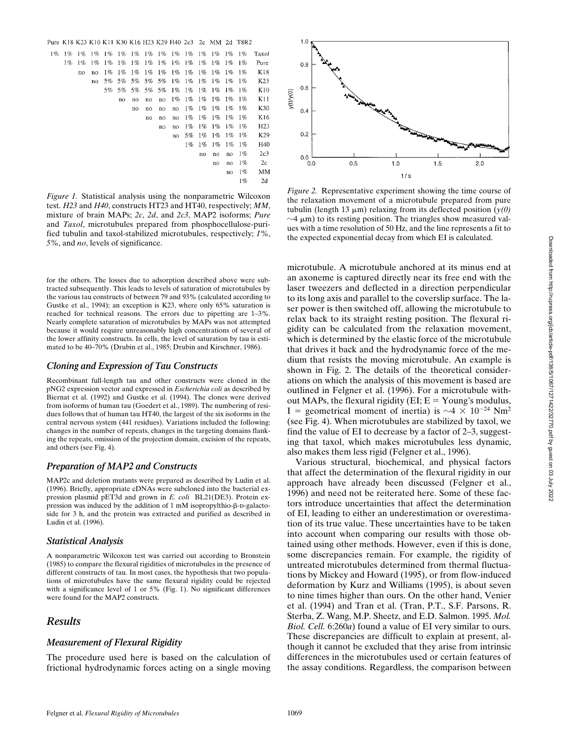

*Figure 1.* Statistical analysis using the nonparametric Wilcoxon test. *H23* and *H40*, constructs HT23 and HT40, respectively; *MM*, mixture of brain MAPs; *2c*, *2d*, and *2c3*, MAP2 isoforms; *Pure* and *Taxol*, microtubules prepared from phosphocellulose-purified tubulin and taxol-stabilized microtubules, respectively; *1%*, *5%*, and *no*, levels of significance.

for the others. The losses due to adsorption described above were subtracted subsequently. This leads to levels of saturation of microtubules by the various tau constructs of between 79 and 93% (calculated according to Gustke et al., 1994); an exception is K23, where only 65% saturation is reached for technical reasons. The errors due to pipetting are 1–3%. Nearly complete saturation of microtubules by MAPs was not attempted because it would require unreasonably high concentrations of several of the lower affinity constructs. In cells, the level of saturation by tau is estimated to be 40–70% (Drubin et al., 1985; Drubin and Kirschner, 1986).

### *Cloning and Expression of Tau Constructs*

Recombinant full-length tau and other constructs were cloned in the pNG2 expression vector and expressed in *Escherichia coli* as described by Biernat et al. (1992) and Gustke et al. (1994). The clones were derived from isoforms of human tau (Goedert et al., 1989). The numbering of residues follows that of human tau HT40, the largest of the six isoforms in the central nervous system (441 residues). Variations included the following: changes in the number of repeats, changes in the targeting domains flanking the repeats, omission of the projection domain, excision of the repeats, and others (see Fig. 4).

### *Preparation of MAP2 and Constructs*

MAP2c and deletion mutants were prepared as described by Ludin et al. (1996). Briefly, appropriate cDNAs were subcloned into the bacterial expression plasmid pET3d and grown in *E. coli* BL21(DE3). Protein expression was induced by the addition of  $1 \text{ mM}$  isopropylthio- $\beta$ -D-galactoside for 3 h, and the protein was extracted and purified as described in Ludin et al. (1996).

### *Statistical Analysis*

A nonparametric Wilcoxon test was carried out according to Bronstein (1985) to compare the flexural rigidities of microtubules in the presence of different constructs of tau. In most cases, the hypothesis that two populations of microtubules have the same flexural rigidity could be rejected with a significance level of 1 or 5% (Fig. 1). No significant differences were found for the MAP2 constructs.

## *Results*

### *Measurement of Flexural Rigidity*

The procedure used here is based on the calculation of frictional hydrodynamic forces acting on a single moving



*Figure 2.* Representative experiment showing the time course of the relaxation movement of a microtubule prepared from pure tubulin (length 13  $\mu$ m) relaxing from its deflected position  $(y(0))$  $\sim$ 4  $\mu$ m) to its resting position. The triangles show measured values with a time resolution of 50 Hz, and the line represents a fit to the expected exponential decay from which EI is calculated.

microtubule. A microtubule anchored at its minus end at an axoneme is captured directly near its free end with the laser tweezers and deflected in a direction perpendicular to its long axis and parallel to the coverslip surface. The laser power is then switched off, allowing the microtubule to relax back to its straight resting position. The flexural rigidity can be calculated from the relaxation movement, which is determined by the elastic force of the microtubule that drives it back and the hydrodynamic force of the medium that resists the moving microtubule. An example is shown in Fig. 2. The details of the theoretical considerations on which the analysis of this movement is based are outlined in Felgner et al. (1996). For a microtubule without MAPs, the flexural rigidity (EI;  $E =$  Young's modulus, I = geometrical moment of inertia) is  $\sim$ 4  $\times$  10<sup>-24</sup> Nm<sup>2</sup> (see Fig. 4). When microtubules are stabilized by taxol, we find the value of EI to decrease by a factor of 2–3, suggesting that taxol, which makes microtubules less dynamic, also makes them less rigid (Felgner et al., 1996).

Various structural, biochemical, and physical factors that affect the determination of the flexural rigidity in our approach have already been discussed (Felgner et al., 1996) and need not be reiterated here. Some of these factors introduce uncertainties that affect the determination of EI, leading to either an underestimation or overestimation of its true value. These uncertainties have to be taken into account when comparing our results with those obtained using other methods. However, even if this is done, some discrepancies remain. For example, the rigidity of untreated microtubules determined from thermal fluctuations by Mickey and Howard (1995), or from flow-induced deformation by Kurz and Williams (1995), is about seven to nine times higher than ours. On the other hand, Venier et al. (1994) and Tran et al. (Tran, P.T., S.F. Parsons, R. Sterba, Z. Wang, M.P. Sheetz, and E.D. Salmon. 1995. *Mol. Biol. Cell.* 6:260*a*) found a value of EI very similar to ours. These discrepancies are difficult to explain at present, although it cannot be excluded that they arise from intrinsic differences in the microtubules used or certain features of the assay conditions. Regardless, the comparison between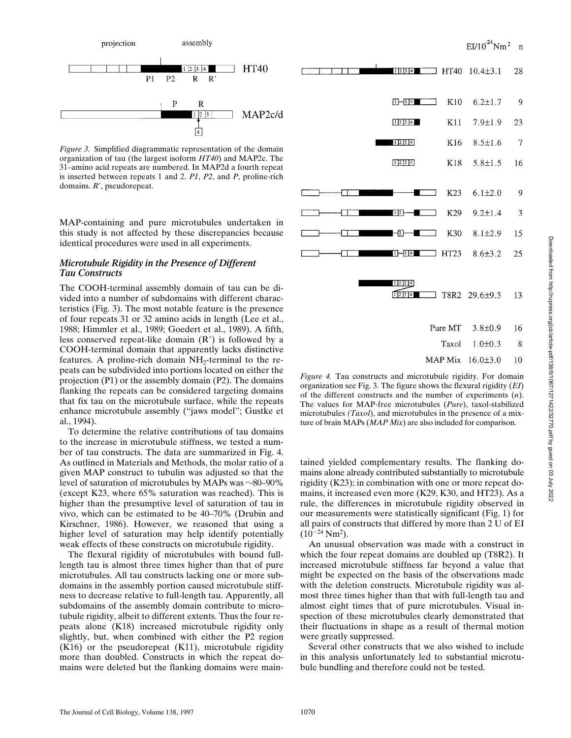

*Figure 3.* Simplified diagrammatic representation of the domain organization of tau (the largest isoform *HT40*) and MAP2c. The 31–amino acid repeats are numbered. In MAP2d a fourth repeat is inserted between repeats 1 and 2. *P1*, *P2*, and *P*, proline-rich domains. *R'*, pseudorepeat.

MAP-containing and pure microtubules undertaken in this study is not affected by these discrepancies because identical procedures were used in all experiments.

### *Microtubule Rigidity in the Presence of Different Tau Constructs*

The COOH-terminal assembly domain of tau can be divided into a number of subdomains with different characteristics (Fig. 3). The most notable feature is the presence of four repeats 31 or 32 amino acids in length (Lee et al., 1988; Himmler et al., 1989; Goedert et al., 1989). A fifth, less conserved repeat-like domain  $(R')$  is followed by a COOH-terminal domain that apparently lacks distinctive features. A proline-rich domain  $NH<sub>2</sub>$ -terminal to the repeats can be subdivided into portions located on either the projection (P1) or the assembly domain (P2). The domains flanking the repeats can be considered targeting domains that fix tau on the microtubule surface, while the repeats enhance microtubule assembly ("jaws model"; Gustke et al., 1994).

To determine the relative contributions of tau domains to the increase in microtubule stiffness, we tested a number of tau constructs. The data are summarized in Fig. 4. As outlined in Materials and Methods, the molar ratio of a given MAP construct to tubulin was adjusted so that the level of saturation of microtubules by MAPs was  $\sim$ 80–90% (except K23, where 65% saturation was reached). This is higher than the presumptive level of saturation of tau in vivo, which can be estimated to be 40–70% (Drubin and Kirschner, 1986). However, we reasoned that using a higher level of saturation may help identify potentially weak effects of these constructs on microtubule rigidity.

The flexural rigidity of microtubules with bound fulllength tau is almost three times higher than that of pure microtubules. All tau constructs lacking one or more subdomains in the assembly portion caused microtubule stiffness to decrease relative to full-length tau. Apparently, all subdomains of the assembly domain contribute to microtubule rigidity, albeit to different extents. Thus the four repeats alone (K18) increased microtubule rigidity only slightly, but, when combined with either the P2 region (K16) or the pseudorepeat (K11), microtubule rigidity more than doubled. Constructs in which the repeat domains were deleted but the flanking domains were main-

|  | 12314                                                |         | $HT40$ 10.4 $\pm$ 3.1 | 28  |
|--|------------------------------------------------------|---------|-----------------------|-----|
|  | $1 - 314$                                            | K10     | $6.2 \pm 1.7$         | - 9 |
|  | 1234                                                 | K11     | $7.9 \pm 1.9$         | 23  |
|  | 1234                                                 | K16     | $8.5 \pm 1.6$         | -7  |
|  | 12314                                                | K18     | $5.8 \pm 1.5$         | 16  |
|  |                                                      |         |                       |     |
|  |                                                      | K23     | $6.1 \pm 2.0$         | -9  |
|  | $[1]2$ –                                             | K29     | $9.2 \pm 1.4$         | 3   |
|  | 团                                                    | K30     | $8.1 \pm 2.9$         | 15  |
|  | $1 - 314$                                            | HT23    | $8.6 \pm 3.2$         | 25  |
|  |                                                      |         |                       |     |
|  | 12314<br>$\sqrt{1}$ $\sqrt{2}$ $\sqrt{3}$ $\sqrt{4}$ |         | T8R2 29.6±9.3         | 13  |
|  |                                                      | Pure MT | $3.8 \pm 0.9$         | 16  |
|  |                                                      | Taxol   | $1.0 \pm 0.3$         | 8   |
|  |                                                      |         | MAP Mix 16.0±3.0      | 10  |

*Figure 4.* Tau constructs and microtubule rigidity. For domain organization see Fig. 3. The figure shows the flexural rigidity (*EI*) of the different constructs and the number of experiments (*n*). The values for MAP-free microtubules (*Pure*), taxol-stabilized microtubules *(Taxol*), and microtubules in the presence of a mixture of brain MAPs (*MAP Mix*) are also included for comparison.

tained yielded complementary results. The flanking domains alone already contributed substantially to microtubule rigidity (K23); in combination with one or more repeat domains, it increased even more (K29, K30, and HT23). As a rule, the differences in microtubule rigidity observed in our measurements were statistically significant (Fig. 1) for all pairs of constructs that differed by more than 2 U of EI  $(10^{-24} \text{ Nm}^2).$ 

An unusual observation was made with a construct in which the four repeat domains are doubled up (T8R2). It increased microtubule stiffness far beyond a value that might be expected on the basis of the observations made with the deletion constructs. Microtubule rigidity was almost three times higher than that with full-length tau and almost eight times that of pure microtubules. Visual inspection of these microtubules clearly demonstrated that their fluctuations in shape as a result of thermal motion were greatly suppressed.

Several other constructs that we also wished to include in this analysis unfortunately led to substantial microtubule bundling and therefore could not be tested.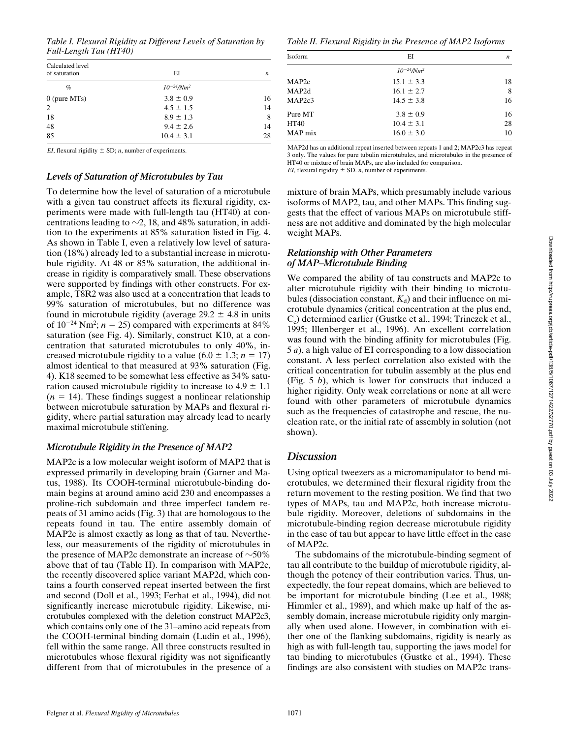*Table I. Flexural Rigidity at Different Levels of Saturation by Full-Length Tau (HT40)*

| Calculated level<br>of saturation | EI                          | n  |
|-----------------------------------|-----------------------------|----|
| $\%$                              | $10^{-24}$ /Nm <sup>2</sup> |    |
| $0$ (pure MTs)                    | $3.8 \pm 0.9$               | 16 |
| 2                                 | $4.5 \pm 1.5$               | 14 |
| 18                                | $8.9 \pm 1.3$               | 8  |
| 48                                | $9.4 \pm 2.6$               | 14 |
| 85                                | $10.4 \pm 3.1$              | 28 |

*EI*, flexural rigidity  $\pm$  SD; *n*, number of experiments.

### *Levels of Saturation of Microtubules by Tau*

To determine how the level of saturation of a microtubule with a given tau construct affects its flexural rigidity, experiments were made with full-length tau (HT40) at concentrations leading to  $\sim$ 2, 18, and 48% saturation, in addition to the experiments at 85% saturation listed in Fig. 4. As shown in Table I, even a relatively low level of saturation (18%) already led to a substantial increase in microtubule rigidity. At 48 or 85% saturation, the additional increase in rigidity is comparatively small. These observations were supported by findings with other constructs. For example, T8R2 was also used at a concentration that leads to 99% saturation of microtubules, but no difference was found in microtubule rigidity (average  $29.2 \pm 4.8$  in units of  $10^{-24}$  Nm<sup>2</sup>;  $n = 25$ ) compared with experiments at 84% saturation (see Fig. 4). Similarly, construct K10, at a concentration that saturated microtubules to only 40%, increased microtubule rigidity to a value  $(6.0 \pm 1.3; n = 17)$ almost identical to that measured at 93% saturation (Fig. 4). K18 seemed to be somewhat less effective as 34% saturation caused microtubule rigidity to increase to  $4.9 \pm 1.1$  $(n = 14)$ . These findings suggest a nonlinear relationship between microtubule saturation by MAPs and flexural rigidity, where partial saturation may already lead to nearly maximal microtubule stiffening.

### *Microtubule Rigidity in the Presence of MAP2*

MAP2c is a low molecular weight isoform of MAP2 that is expressed primarily in developing brain (Garner and Matus, 1988). Its COOH-terminal microtubule-binding domain begins at around amino acid 230 and encompasses a proline-rich subdomain and three imperfect tandem repeats of 31 amino acids (Fig. 3) that are homologous to the repeats found in tau. The entire assembly domain of MAP2c is almost exactly as long as that of tau. Nevertheless, our measurements of the rigidity of microtubules in the presence of MAP2c demonstrate an increase of  $\sim 50\%$ above that of tau (Table II). In comparison with MAP2c, the recently discovered splice variant MAP2d, which contains a fourth conserved repeat inserted between the first and second (Doll et al., 1993; Ferhat et al., 1994), did not significantly increase microtubule rigidity. Likewise, microtubules complexed with the deletion construct MAP2c3, which contains only one of the 31–amino acid repeats from the COOH-terminal binding domain (Ludin et al., 1996), fell within the same range. All three constructs resulted in microtubules whose flexural rigidity was not significantly different from that of microtubules in the presence of a

*Table II. Flexural Rigidity in the Presence of MAP2 Isoforms*

| Isoform             | EI                          | n  |
|---------------------|-----------------------------|----|
|                     | $10^{-24}$ /Nm <sup>2</sup> |    |
| MAP <sub>2</sub> c  | $15.1 \pm 3.3$              | 18 |
| MAP2d               | $16.1 \pm 2.7$              | 8  |
| MAP <sub>2c</sub> 3 | $14.5 \pm 3.8$              | 16 |
| Pure MT             | $3.8 \pm 0.9$               | 16 |
| HT40                | $10.4 \pm 3.1$              | 28 |
| MAP mix             | $16.0 \pm 3.0$              | 10 |

MAP2d has an additional repeat inserted between repeats 1 and 2; MAP2c3 has repeat 3 only. The values for pure tubulin microtubules, and microtubules in the presence of HT40 or mixture of brain MAPs, are also included for comparison. *EI*, flexural rigidity  $\pm$  SD. *n*, number of experiments.

mixture of brain MAPs, which presumably include various isoforms of MAP2, tau, and other MAPs. This finding suggests that the effect of various MAPs on microtubule stiffness are not additive and dominated by the high molecular weight MAPs.

### *Relationship with Other Parameters of MAP–Microtubule Binding*

We compared the ability of tau constructs and MAP2c to alter microtubule rigidity with their binding to microtubules (dissociation constant,  $K_d$ ) and their influence on microtubule dynamics (critical concentration at the plus end, C<sub>c</sub>) determined earlier (Gustke et al., 1994; Trinczek et al., 1995; Illenberger et al., 1996). An excellent correlation was found with the binding affinity for microtubules (Fig. 5 *a*), a high value of EI corresponding to a low dissociation constant. A less perfect correlation also existed with the critical concentration for tubulin assembly at the plus end (Fig. 5 *b*), which is lower for constructs that induced a higher rigidity. Only weak correlations or none at all were found with other parameters of microtubule dynamics such as the frequencies of catastrophe and rescue, the nucleation rate, or the initial rate of assembly in solution (not shown).

## *Discussion*

Using optical tweezers as a micromanipulator to bend microtubules, we determined their flexural rigidity from the return movement to the resting position. We find that two types of MAPs, tau and MAP2c, both increase microtubule rigidity. Moreover, deletions of subdomains in the microtubule-binding region decrease microtubule rigidity in the case of tau but appear to have little effect in the case of MAP2c.

The subdomains of the microtubule-binding segment of tau all contribute to the buildup of microtubule rigidity, although the potency of their contribution varies. Thus, unexpectedly, the four repeat domains, which are believed to be important for microtubule binding (Lee et al., 1988; Himmler et al., 1989), and which make up half of the assembly domain, increase microtubule rigidity only marginally when used alone. However, in combination with either one of the flanking subdomains, rigidity is nearly as high as with full-length tau, supporting the jaws model for tau binding to microtubules (Gustke et al., 1994). These findings are also consistent with studies on MAP2c trans-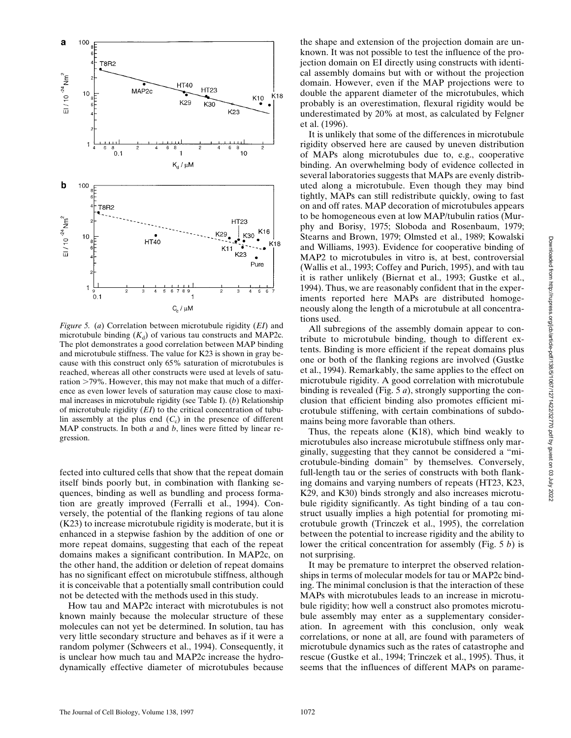

*Figure 5.* (*a*) Correlation between microtubule rigidity (*EI*) and microtubule binding  $(K_d)$  of various tau constructs and MAP2c. The plot demonstrates a good correlation between MAP binding and microtubule stiffness. The value for K23 is shown in gray because with this construct only 65% saturation of microtubules is reached, whereas all other constructs were used at levels of saturation  $>79\%$ . However, this may not make that much of a difference as even lower levels of saturation may cause close to maximal increases in microtubule rigidity (see Table I). (*b*) Relationship of microtubule rigidity (*EI*) to the critical concentration of tubulin assembly at the plus end  $(C_c)$  in the presence of different MAP constructs. In both *a* and *b*, lines were fitted by linear regression.

fected into cultured cells that show that the repeat domain itself binds poorly but, in combination with flanking sequences, binding as well as bundling and process formation are greatly improved (Ferralli et al., 1994). Conversely, the potential of the flanking regions of tau alone (K23) to increase microtubule rigidity is moderate, but it is enhanced in a stepwise fashion by the addition of one or more repeat domains, suggesting that each of the repeat domains makes a significant contribution. In MAP2c, on the other hand, the addition or deletion of repeat domains has no significant effect on microtubule stiffness, although it is conceivable that a potentially small contribution could not be detected with the methods used in this study.

How tau and MAP2c interact with microtubules is not known mainly because the molecular structure of these molecules can not yet be determined. In solution, tau has very little secondary structure and behaves as if it were a random polymer (Schweers et al., 1994). Consequently, it is unclear how much tau and MAP2c increase the hydrodynamically effective diameter of microtubules because

the shape and extension of the projection domain are unknown. It was not possible to test the influence of the projection domain on EI directly using constructs with identical assembly domains but with or without the projection domain. However, even if the MAP projections were to double the apparent diameter of the microtubules, which probably is an overestimation, flexural rigidity would be underestimated by 20% at most, as calculated by Felgner et al. (1996).

It is unlikely that some of the differences in microtubule rigidity observed here are caused by uneven distribution of MAPs along microtubules due to, e.g., cooperative binding. An overwhelming body of evidence collected in several laboratories suggests that MAPs are evenly distributed along a microtubule. Even though they may bind tightly, MAPs can still redistribute quickly, owing to fast on and off rates. MAP decoration of microtubules appears to be homogeneous even at low MAP/tubulin ratios (Murphy and Borisy, 1975; Sloboda and Rosenbaum, 1979; Stearns and Brown, 1979; Olmsted et al., 1989; Kowalski and Williams, 1993). Evidence for cooperative binding of MAP2 to microtubules in vitro is, at best, controversial (Wallis et al., 1993; Coffey and Purich, 1995), and with tau it is rather unlikely (Biernat et al., 1993; Gustke et al., 1994). Thus, we are reasonably confident that in the experiments reported here MAPs are distributed homogeneously along the length of a microtubule at all concentrations used.

All subregions of the assembly domain appear to contribute to microtubule binding, though to different extents. Binding is more efficient if the repeat domains plus one or both of the flanking regions are involved (Gustke et al., 1994). Remarkably, the same applies to the effect on microtubule rigidity. A good correlation with microtubule binding is revealed (Fig. 5 *a*), strongly supporting the conclusion that efficient binding also promotes efficient microtubule stiffening, with certain combinations of subdomains being more favorable than others.

Thus, the repeats alone (K18), which bind weakly to microtubules also increase microtubule stiffness only marginally, suggesting that they cannot be considered a "microtubule-binding domain" by themselves. Conversely, full-length tau or the series of constructs with both flanking domains and varying numbers of repeats (HT23, K23, K29, and K30) binds strongly and also increases microtubule rigidity significantly. As tight binding of a tau construct usually implies a high potential for promoting microtubule growth (Trinczek et al., 1995), the correlation between the potential to increase rigidity and the ability to lower the critical concentration for assembly (Fig. 5 *b*) is not surprising.

It may be premature to interpret the observed relationships in terms of molecular models for tau or MAP2c binding. The minimal conclusion is that the interaction of these MAPs with microtubules leads to an increase in microtubule rigidity; how well a construct also promotes microtubule assembly may enter as a supplementary consideration. In agreement with this conclusion, only weak correlations, or none at all, are found with parameters of microtubule dynamics such as the rates of catastrophe and rescue (Gustke et al., 1994; Trinczek et al., 1995). Thus, it seems that the influences of different MAPs on parame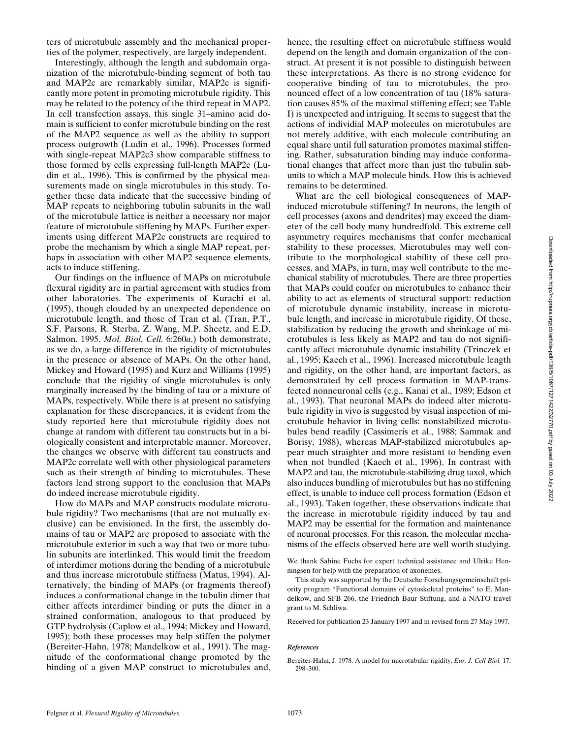nization of the microtubule-binding segment of both tau and MAP2c are remarkably similar, MAP2c is significantly more potent in promoting microtubule rigidity. This may be related to the potency of the third repeat in MAP2. In cell transfection assays, this single 31–amino acid domain is sufficient to confer microtubule binding on the rest of the MAP2 sequence as well as the ability to support process outgrowth (Ludin et al., 1996). Processes formed with single-repeat MAP2c3 show comparable stiffness to those formed by cells expressing full-length MAP2c (Ludin et al., 1996). This is confirmed by the physical measurements made on single microtubules in this study. Together these data indicate that the successive binding of MAP repeats to neighboring tubulin subunits in the wall of the microtubule lattice is neither a necessary nor major feature of microtubule stiffening by MAPs. Further experiments using different MAP2c constructs are required to probe the mechanism by which a single MAP repeat, perhaps in association with other MAP2 sequence elements, acts to induce stiffening.

Our findings on the influence of MAPs on microtubule flexural rigidity are in partial agreement with studies from other laboratories. The experiments of Kurachi et al. (1995), though clouded by an unexpected dependence on microtubule length, and those of Tran et al. (Tran, P.T., S.F. Parsons, R. Sterba, Z. Wang, M.P. Sheetz, and E.D. Salmon. 1995. *Mol. Biol. Cell.* 6:260*a*.) both demonstrate, as we do, a large difference in the rigidity of microtubules in the presence or absence of MAPs. On the other hand, Mickey and Howard (1995) and Kurz and Williams (1995) conclude that the rigidity of single microtubules is only marginally increased by the binding of tau or a mixture of MAPs, respectively. While there is at present no satisfying explanation for these discrepancies, it is evident from the study reported here that microtubule rigidity does not change at random with different tau constructs but in a biologically consistent and interpretable manner. Moreover, the changes we observe with different tau constructs and MAP2c correlate well with other physiological parameters such as their strength of binding to microtubules. These factors lend strong support to the conclusion that MAPs do indeed increase microtubule rigidity.

How do MAPs and MAP constructs modulate microtubule rigidity? Two mechanisms (that are not mutually exclusive) can be envisioned. In the first, the assembly domains of tau or MAP2 are proposed to associate with the microtubule exterior in such a way that two or more tubulin subunits are interlinked. This would limit the freedom of interdimer motions during the bending of a microtubule and thus increase microtubule stiffness (Matus, 1994). Alternatively, the binding of MAPs (or fragments thereof) induces a conformational change in the tubulin dimer that either affects interdimer binding or puts the dimer in a strained conformation, analogous to that produced by GTP hydrolysis (Caplow et al., 1994; Mickey and Howard, 1995); both these processes may help stiffen the polymer (Bereiter-Hahn, 1978; Mandelkow et al., 1991). The magnitude of the conformational change promoted by the binding of a given MAP construct to microtubules and, hence, the resulting effect on microtubule stiffness would depend on the length and domain organization of the construct. At present it is not possible to distinguish between these interpretations. As there is no strong evidence for cooperative binding of tau to microtubules, the pronounced effect of a low concentration of tau (18% saturation causes 85% of the maximal stiffening effect; see Table I) is unexpected and intriguing. It seems to suggest that the actions of individial MAP molecules on microtubules are not merely additive, with each molecule contributing an equal share until full saturation promotes maximal stiffening. Rather, subsaturation binding may induce conformational changes that affect more than just the tubulin subunits to which a MAP molecule binds. How this is achieved remains to be determined.

What are the cell biological consequences of MAPinduced microtubule stiffening? In neurons, the length of cell processes (axons and dendrites) may exceed the diameter of the cell body many hundredfold. This extreme cell asymmetry requires mechanisms that confer mechanical stability to these processes. Microtubules may well contribute to the morphological stability of these cell processes, and MAPs, in turn, may well contribute to the mechanical stability of microtubules. There are three properties that MAPs could confer on microtubules to enhance their ability to act as elements of structural support: reduction of microtubule dynamic instability, increase in microtubule length, and increase in microtubule rigidity. Of these, stabilization by reducing the growth and shrinkage of microtubules is less likely as MAP2 and tau do not significantly affect microtubule dynamic instability (Trinczek et al., 1995; Kaech et al., 1996). Increased microtubule length and rigidity, on the other hand, are important factors, as demonstrated by cell process formation in MAP-transfected nonneuronal cells (e.g., Kanai et al., 1989; Edson et al., 1993). That neuronal MAPs do indeed alter microtubule rigidity in vivo is suggested by visual inspection of microtubule behavior in living cells: nonstabilized microtubules bend readily (Cassimeris et al., 1988; Sammak and Borisy, 1988), whereas MAP-stabilized microtubules appear much straighter and more resistant to bending even when not bundled (Kaech et al., 1996). In contrast with MAP2 and tau, the microtubule-stabilizing drug taxol, which also induces bundling of microtubules but has no stiffening effect, is unable to induce cell process formation (Edson et al., 1993). Taken together, these observations indicate that the increase in microtubule rigidity induced by tau and MAP2 may be essential for the formation and maintenance of neuronal processes. For this reason, the molecular mechanisms of the effects observed here are well worth studying.

We thank Sabine Fuchs for expert technical assistance and Ulrike Henningsen for help with the preparation of axonemes.

This study was supported by the Deutsche Forschungsgemeinschaft priority program "Functional domains of cytoskeletal proteins" to E. Mandelkow, and SFB 266, the Friedrich Baur Stiftung, and a NATO travel grant to M. Schliwa.

Received for publication 23 January 1997 and in revised form 27 May 1997.

#### *References*

Bereiter-Hahn, J. 1978. A model for microtubular rigidity. *Eur. J. Cell Biol.* 17: 298–300.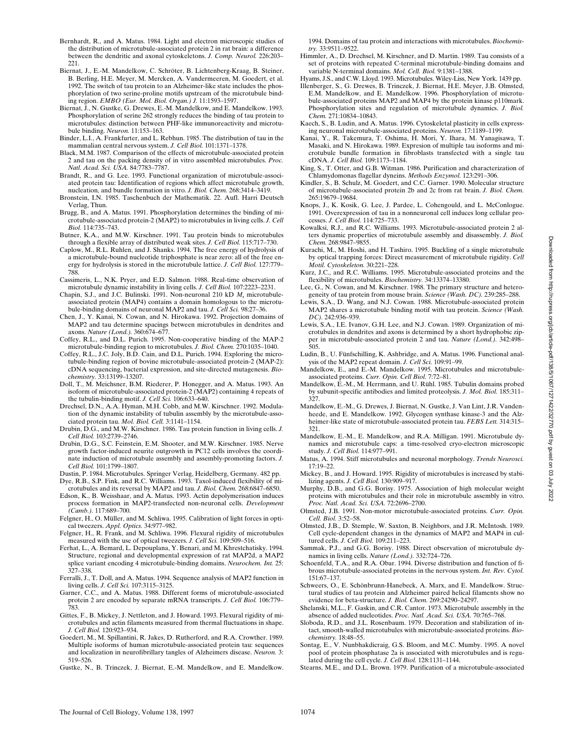- Bernhardt, R., and A. Matus. 1984. Light and electron microscopic studies of the distribution of microtubule-associated protein 2 in rat brain: a difference between the dendritic and axonal cytoskeletons. *J. Comp. Neurol.* 226:203– 221.
- Biernat, J., E.-M. Mandelkow, C. Schröter, B. Lichtenberg-Kraag, B. Steiner, B. Berling, H.E. Meyer, M. Mercken, A. Vandermeeren, M. Goedert, et al. 1992. The switch of tau protein to an Alzheimer-like state includes the phosphorylation of two serine-proline motifs upstream of the microtubule binding region. *EMBO (Eur. Mol. Biol. Organ.) J.* 11:1593–1597.
- Biernat, J., N. Gustke, G. Drewes, E.-M. Mandelkow, and E. Mandelkow. 1993. Phosphorylation of serine 262 strongly reduces the binding of tau protein to microtubules: distinction between PHF-like immunoreactivity and microtubule binding. *Neuron.* 11:153–163.
- Binder, L.I., A. Frankfurter, and L. Rebhun. 1985. The distribution of tau in the mammalian central nervous system. *J. Cell Biol.* 101:1371–1378.
- Black, M.M. 1987. Comparison of the effects of microtubule-associated protein 2 and tau on the packing density of in vitro assembled microtubules. *Proc. Natl. Acad. Sci. USA.* 84:7783–7787.
- Brandt, R., and G. Lee. 1993. Functional organization of microtubule-associated protein tau: Identification of regions which affect microtubule growth, nucleation, and bundle formation in vitro. *J. Biol. Chem.* 268:3414–3419.
- Bronstein, I.N. 1985. Taschenbuch der Mathematik. 22. Aufl. Harri Deutsch Verlag, Thun.
- Brugg, B., and A. Matus. 1991. Phosphorylation determines the binding of microtubule-associated protein-2 (MAP2) to microtubules in living cells. *J. Cell Biol.* 114:735–743.
- Butner, K.A., and M.W. Kirschner. 1991. Tau protein binds to microtubules through a flexible array of distributed weak sites. *J. Cell Biol.* 115:717–730.
- Caplow, M., R.L. Ruhlen, and J. Shanks. 1994. The free energy of hydrolysis of a microtubule-bound nucleotide triphosphate is near zero: all of the free energy for hydrolysis is stored in the microtubule lattice. *J. Cell Biol.* 127:779– 788.
- Cassimeris, L., N.K. Pryer, and E.D. Salmon. 1988. Real-time observation of microtubule dynamic instability in living cells. *J. Cell Biol.* 107:2223–2231.
- Chapin, S.J., and J.C. Bulinski. 1991. Non-neuronal 210 kD *M*r microtubuleassociated protein (MAP4) contains a domain homologous to the microtubule-binding domains of neuronal MAP2 and tau. *J. Cell Sci.* 98:27–36.
- Chen, J., Y. Kanai, N. Cowan, and N. Hirokawa. 1992. Projection domains of MAP2 and tau determine spacings between microtubules in dendrites and axons. *Nature (Lond.).* 360:674–677.
- Coffey, R.L., and D.L. Purich. 1995. Non-cooperative binding of the MAP-2 microtubule-binding region to microtubules. *J. Biol. Chem.* 270:1035–1040.
- Coffey, R.L., J.C. Joly, B.D. Cain, and D.L. Purich. 1994. Exploring the microtubule-binding region of bovine microtubule-associated protein-2 (MAP-2): cDNA sequencing, bacterial expression, and site-directed mutagenesis. *Biochemistry.* 33:13199–13207.
- Doll, T., M. Meichsner, B.M. Riederer, P. Honegger, and A. Matus. 1993. An isoform of microtubule-associated protein-2 (MAP2) containing 4 repeats of the tubulin-binding motif. *J. Cell Sci.* 106:633–640.
- Drechsel, D.N., A.A. Hyman, M.H. Cobb, and M.W. Kirschner. 1992. Modulation of the dynamic instability of tubulin assembly by the microtubule-associated protein tau. *Mol. Biol. Cell.* 3:1141–1154.
- Drubin, D.G., and M.W. Kirschner. 1986. Tau protein function in living cells. *J. Cell Biol.* 103:2739–2746.
- Drubin, D.G., S.C. Feinstein, E.M. Shooter, and M.W. Kirschner. 1985. Nerve growth factor-induced neurite outgrowth in PC12 cells involves the coordinate induction of microtubule assembly and assembly-promoting factors. *J. Cell Biol.* 101:1799–1807.
- Dustin, P. 1984. Microtubules. Springer Verlag, Heidelberg, Germany. 482 pp. Dye, R.B., S.P. Fink, and R.C. Williams. 1993. Taxol-induced flexibility of mi-
- crotubules and its reversal by MAP2 and tau. *J. Biol. Chem.* 268:6847–6850. Edson, K., B. Weisshaar, and A. Matus. 1993. Actin depolymerisation induces
- process formation in MAP2-transfected non-neuronal cells. *Development (Camb.).* 117:689–700.
- Felgner, H., O. Müller, and M. Schliwa. 1995. Calibration of light forces in optical tweezers. *Appl. Optics.* 34:977–982.
- Felgner, H., R. Frank, and M. Schliwa. 1996. Flexural rigidity of microtubules measured with the use of optical tweezers. *J. Cell Sci.* 109:509-516.
- Ferhat, L., A. Bemard, L. Depouplana, Y. Benari, and M. Khrestchatisky. 1994. Structure, regional and developmental expression of rat MAP2d, a MAP2 splice variant encoding 4 microtubule-binding domains. *Neurochem. Int.* 25: 327–338.
- Ferralli, J., T. Doll, and A. Matus. 1994. Sequence analysis of MAP2 function in living cells. *J. Cell Sci.* 107:3115–3125.
- Garner, C.C., and A. Matus. 1988. Different forms of microtubule-associated protein 2 are encoded by separate mRNA transcripts. *J. Cell Biol.* 106:779– 783.
- Gittes, F., B. Mickey, J. Nettleton, and J. Howard. 1993. Flexural rigidity of microtubules and actin filaments measured from thermal fluctuations in shape. *J. Cell Biol.* 120:923–934.
- Goedert, M., M. Spillantini, R. Jakes, D. Rutherford, and R.A. Crowther. 1989. Multiple isoforms of human microtubule-associated protein tau: sequences and localization in neurofibrillary tangles of Alzheimers disease. *Neuron.* 3: 519–526.
- Gustke, N., B. Trinczek, J. Biernat, E.-M. Mandelkow, and E. Mandelkow.

1994. Domains of tau protein and interactions with microtubules. *Biochemistry.* 33:9511–9522.

- Himmler, A., D. Drechsel, M. Kirschner, and D. Martin. 1989. Tau consists of a set of proteins with repeated C-terminal microtubule-binding domains and variable N-terminal domains. *Mol. Cell. Biol.* 9:1381–1388.
- Hyams, J.S., and C.W. Lloyd. 1993. Microtubules. Wiley-Liss, New York. 1439 pp. Illenberger, S., G. Drewes, B. Trinczek, J. Biernat, H.E. Meyer, J.B. Olmsted, E.M. Mandelkow, and E. Mandelkow. 1996. Phosphorylation of microtubule-associated proteins MAP2 and MAP4 by the protein kinase p110mark. Phosphorylation sites and regulation of microtubule dynamics. *J. Biol. Chem.* 271:10834–10843.
- Kaech, S., B. Ludin, and A. Matus. 1996. Cytoskeletal plasticity in cells expressing neuronal microtubule-associated proteins. *Neuron.* 17:1189–1199.
- Kanai, Y., R. Takemura, T. Oshima, H. Mori, Y. Ihara, M. Yanagisawa, T. Masaki, and N. Hirokawa. 1989. Expresion of multiple tau isoforms and microtubule bundle formation in fibroblasts transfected with a single tau cDNA. *J. Cell Biol.* 109:1173–1184.
- King, S., T. Otter, and G.B. Witman. 1986. Purification and characterization of Chlamydomonas flagellar dyneins. *Methods Enzymol.* 123:291–306.
- Kindler, S., B. Schulz, M. Goedert, and C.C. Garner. 1990. Molecular structure of microtubule-associated protein 2b and 2c from rat brain. *J. Biol. Chem.* 265:19679–19684.
- Knops, J., K. Kosik, G. Lee, J. Pardee, L. Cohengould, and L. McConlogue. 1991. Overexpression of tau in a nonneuronal cell induces long cellular processes. *J. Cell Biol.* 114:725–733.
- Kowalksi, R.J., and R.C. Williams. 1993. Microtubule-associated protein 2 alters dynamic properties of microtubule assembly and disassembly. *J. Biol. Chem.* 268:9847–9855.
- Kurachi, M., M. Hoshi, and H. Tashiro. 1995. Buckling of a single microtubule by optical trapping forces: Direct measurement of microtubule rigidity. *Cell Motil. Cytoskeleton.* 30:221–228.
- Kurz, J.C., and R.C. Williams. 1995. Microtubule-associated proteins and the flexibility of microtubules. *Biochemistry.* 34:13374–13380.
- Lee, G., N. Cowan, and M. Kirschner. 1988. The primary structure and heterogeneity of tau protein from mouse brain. *Science (Wash. DC).* 239:285–288.
- Lewis, S.A., D. Wang, and N.J. Cowan. 1988. Microtubule-associated protein MAP2 shares a microtubule binding motif with tau protein. *Science (Wash. DC).* 242:936–939.
- Lewis, S.A., I.E. Ivanov, G.H. Lee, and N.J. Cowan. 1989. Organization of microtubules in dendrites and axons is determined by a short hydrophobic zipper in microtubule-associated protein 2 and tau. *Nature (Lond.).* 342:498– 505.
- Ludin, B., U. Fünfschilling, K. Ashbridge, and A. Matus. 1996. Functional analysis of the MAP2 repeat domain. *J. Cell Sci.* 109:91–99.
- Mandelkow, E., and E.-M. Mandelkow. 1995. Microtubules and microtubuleassociated proteins. *Curr. Opin. Cell Biol.* 7:72–81.
- Mandelkow, E.-M., M. Herrmann, and U. Rühl. 1985. Tubulin domains probed by subunit-specific antibodies and limited proteolysis. *J. Mol. Biol.* 185:311–  $327$
- Mandelkow, E.-M., G. Drewes, J. Biernat, N. Gustke, J. Van Lint, J.R. Vandenheede, and E. Mandelkow. 1992. Glycogen synthase kinase-3 and the Alzheimer-like state of microtubule-associated protein tau. *FEBS Lett.* 314:315– 321.
- Mandelkow, E.-M., E. Mandelkow, and R.A. Milligan. 1991. Microtubule dynamics and microtubule caps: a time-resolved cryo-electron microscopic study. *J. Cell Biol.* 114:977–991.
- Matus, A. 1994. Stiff microtubules and neuronal morphology. *Trends Neurosci.*  $17.19 - 22.$
- Mickey, B., and J. Howard. 1995. Rigidity of microtubules is increased by stabilizing agents. *J. Cell Biol.* 130:909–917.
- Murphy, D.B., and G.G. Borisy. 1975. Association of high molecular weight proteins with microtubules and their role in microtubule assembly in vitro. *Proc. Natl. Acad. Sci. USA.* 72:2696–2700.
- Olmsted, J.B. 1991. Non-motor microtubule-associated proteins. *Curr. Opin. Cell. Biol.* 3:52–58.
- Olmsted, J.B., D. Stemple, W. Saxton, B. Neighbors, and J.R. McIntosh. 1989. Cell cycle-dependent changes in the dynamics of MAP2 and MAP4 in cultured cells. *J. Cell Biol.* 109:211–223.
- Sammak, P.J., and G.G. Borisy. 1988. Direct observation of microtubule dynamics in living cells. *Nature (Lond.).* 332:724–726.
- Schoenfeld, T.A., and R.A. Obar. 1994. Diverse distribution and function of fibrous microtubule-associated proteins in the nervous system. *Int. Rev. Cytol.* 151:67–137.
- Schweers, O., E. Schönbrunn-Hanebeck, A. Marx, and E. Mandelkow. Structural studies of tau protein and Alzheimer paired helical filaments show no evidence for beta-structure. *J. Biol. Chem.* 269:24290–24297.
- Shelanski, M.L., F. Gaskin, and C.R. Cantor. 1973. Microtubule assembly in the absence of added nucleotides. *Proc. Natl. Acad. Sci. USA.* 70:765–768.
- Sloboda, R.D., and J.L. Rosenbaum. 1979. Decoration and stabilization of intact, smooth-walled microtubules with microtubule-associated proteins. *Biochemistry.* 18:48–55.
- Sontag, E., V. Nunbhakdicraig, G.S. Bloom, and M.C. Mumby. 1995. A novel pool of protein phosphatase 2a is associated with microtubules and is regulated during the cell cycle. *J. Cell Biol.* 128:1131–1144.
- Stearns, M.E., and D.L. Brown. 1979. Purification of a microtubule-associated